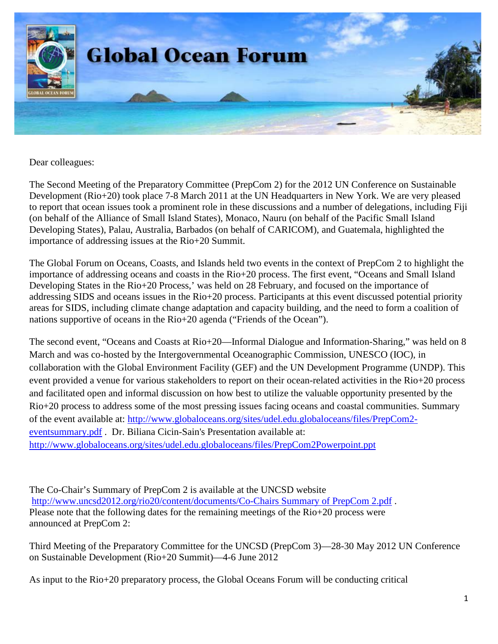

Dear colleagues:

The Second Meeting of the Preparatory Committee (PrepCom 2) for the 2012 UN Conference on Sustainable Development (Rio+20) took place 7-8 March 2011 at the UN Headquarters in New York. We are very pleased to report that ocean issues took a prominent role in these discussions and a number of delegations, including Fiji (on behalf of the Alliance of Small Island States), Monaco, Nauru (on behalf of the Pacific Small Island Developing States), Palau, Australia, Barbados (on behalf of CARICOM), and Guatemala, highlighted the importance of addressing issues at the Rio+20 Summit.

The Global Forum on Oceans, Coasts, and Islands held two events in the context of PrepCom 2 to highlight the importance of addressing oceans and coasts in the Rio+20 process. The first event, "Oceans and Small Island Developing States in the Rio+20 Process,' was held on 28 February, and focused on the importance of addressing SIDS and oceans issues in the Rio+20 process. Participants at this event discussed potential priority areas for SIDS, including climate change adaptation and capacity building, and the need to form a coalition of nations supportive of oceans in the Rio+20 agenda ("Friends of the Ocean").

The second event, "Oceans and Coasts at Rio+20—Informal Dialogue and Information-Sharing," was held on 8 March and was co-hosted by the Intergovernmental Oceanographic Commission, UNESCO (IOC), in collaboration with the Global Environment Facility (GEF) and the UN Development Programme (UNDP). This event provided a venue for various stakeholders to report on their ocean-related activities in the Rio+20 process and facilitated open and informal discussion on how best to utilize the valuable opportunity presented by the Rio+20 process to address some of the most pressing issues facing oceans and coastal communities. Summary of the event available at: [http://www.globaloceans.org/sites/udel.edu.globaloceans/files/PrepCom2](http://www.globaloceans.org/sites/udel.edu.globaloceans/files/PrepCom2-eventsummary.pdf) [eventsummary.pdf](http://www.globaloceans.org/sites/udel.edu.globaloceans/files/PrepCom2-eventsummary.pdf) . Dr. Biliana Cicin-Sain's Presentation available at: <http://www.globaloceans.org/sites/udel.edu.globaloceans/files/PrepCom2Powerpoint.ppt>

The Co-Chair's Summary of PrepCom 2 is available at the UNCSD website [http://www.uncsd2012.org/rio20/content/documents/Co-Chairs Summary of PrepCom 2.pdf](http://www.uncsd2012.org/rio20/content/documents/Co-Chairs%20Summary%20of%20PrepCom%202.pdf) . Please note that the following dates for the remaining meetings of the Rio+20 process were announced at PrepCom 2:

Third Meeting of the Preparatory Committee for the UNCSD (PrepCom 3)—28-30 May 2012 UN Conference on Sustainable Development (Rio+20 Summit)—4-6 June 2012

As input to the Rio+20 preparatory process, the Global Oceans Forum will be conducting critical